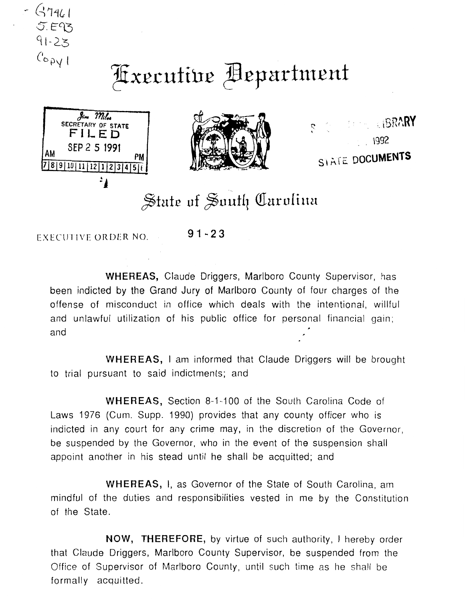

## Fixecutive Department





**COMPLEBRARY** SIATE DOCUMENTS

## State of South Carolina

EXECUTIVE ORDER NO. **91-2 3** 

**WHEREAS,** Claude Driggers, Marlboro County Supervisor, has been indicted by the Grand Jury of Marlboro County of four charges of the offense of misconduct in office which deals with the intentional, willful and unlawful utilization of his public office for personal financial gain; and

**WHEREAS,** I am informed that Claude Driggers will be brought to trial pursuant to said indictments; and

**WHEREAS,** Section 8-1-100 of the South Carolina Code of Laws 1976 (Cum. Supp. 1990) provides that any county officer who is indicted in any court for any crime may, in the discretion of the Governor, be suspended by the Governor, who in the event of the suspension shall appoint another in his stead until he shall be acquitted; and

**WHEREAS,** I, as Governor of the State of South Carolina, am mindful of the duties and responsibilities vested in me by the Constitution of the State.

**NOW, THEREFORE,** by virtue of such authority, I hereby order that Claude Driggers, Marlboro County Supervisor, be suspended from the Office of Supervisor of Marlboro County, until such time as he shall be formally acquitted.